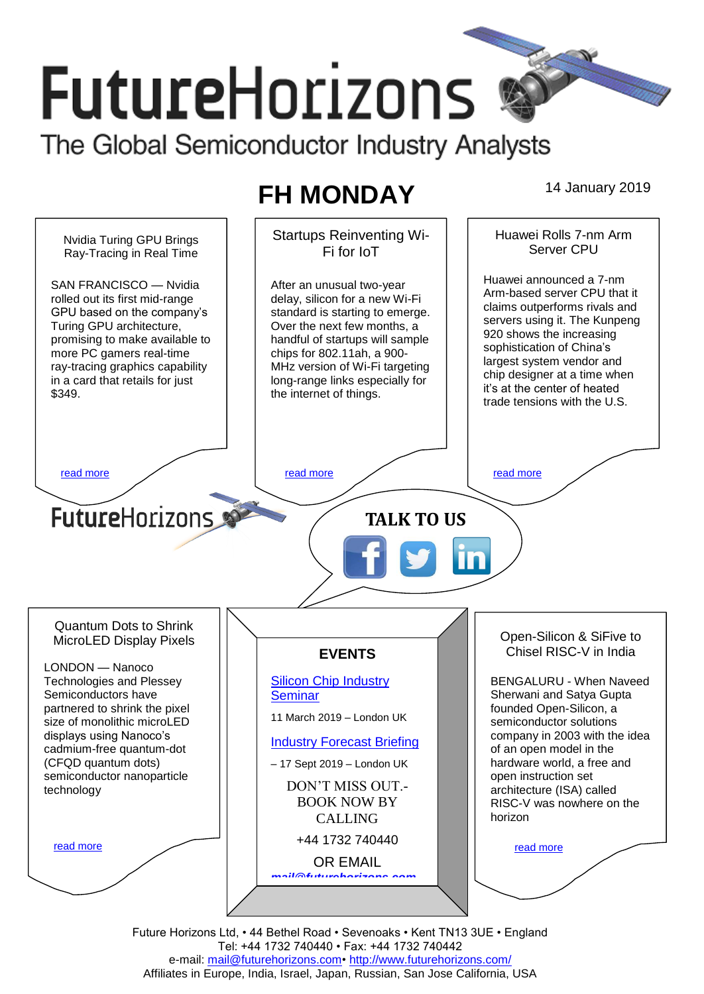# **FutureHorizons**

The Global Semiconductor Industry Analysts

# **FH MONDAY** 14 January 2019

Startups Reinventing Wi-Huawei Rolls 7-nm Arm Nvidia Turing GPU Brings Server CPU Fi for IoT Ray-Tracing in Real Time Huawei announced a 7-nm SAN FRANCISCO — Nvidia After an unusual two-year Arm-based server CPU that it rolled out its first mid-range delay, silicon for a new Wi-Fi claims outperforms rivals and GPU based on the company's standard is starting to emerge. servers using it. The Kunpeng Over the next few months, a Turing GPU architecture, 920 shows the increasing promising to make available to handful of startups will sample sophistication of China's more PC gamers real-time chips for 802.11ah, a 900 largest system vendor and ray-tracing graphics capability MHz version of Wi-Fi targeting chip designer at a time when in a card that retails for just long-range links especially for it's at the center of heated \$349. the internet of things. trade tensions with the U.S. [read more](#page-1-1) that the second contract the second contract of the read more that the read more that the read more **Future**Horizons **TALK TO US** Quantum Dots to Shrink Open-Silicon & SiFive to MicroLED Display Pixels Chisel RISC-V in India **EVENTS** LONDON — Nanoco Technologies and Plessey [Silicon Chip Industry](http://www.futurehorizons.com/page/12/silicon-chip-training)  BENGALURU - When Naveed Semiconductors have **[Seminar](http://www.futurehorizons.com/page/12/silicon-chip-training)** Sherwani and Satya Gupta partnered to shrink the pixel founded Open-Silicon, a 11 March 2019 – London UK size of monolithic microLED semiconductor solutions displays using Nanoco's company in 2003 with the idea [Industry Forecast Briefing](http://www.futurehorizons.com/page/13/Semiconductor-Market-Forecast-Seminar) cadmium-free quantum-dot of an open model in the (CFQD quantum dots) hardware world, a free and – 17 Sept 2019 – London UK semiconductor nanoparticle open instruction set DON'T MISS OUT. architecture (ISA) called technologyBOOK NOW BY RISC-V was nowhere on the horizon CALLING +44 1732 740440 [read more](#page-1-3) [read more](#page-1-4) OR EMAIL *[mail@futurehorizons.com](mailto:mail@futurehorizons.com)*

> Future Horizons Ltd, • 44 Bethel Road • Sevenoaks • Kent TN13 3UE • England Tel: +44 1732 740440 • Fax: +44 1732 740442 e-mail: mail@futurehorizons.com• http://www.futurehorizons.com/ Affiliates in Europe, India, Israel, Japan, Russian, San Jose California, USA